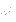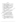## บรรณานุกรม

- ึกมลรัตน์ หล้าสุวงษ์. (2524). จิตวิทยาการศึกษา กรุงเทพมหานคร : คณะศึกษาศาสตร์ มหาวิทยาลัยศรีนครินทรวิโรฒ ประสานมิตร.
- วื่นรมย์และคณะ. (2547). การมุ่งเน้นลูกค้าและตลาด : สร้างองค์กรให้แตกต่าง กลฑลี อย่างเหนือชั้น. กรุงเทพมหานคร : บริษัทอินโนกราฟฟิกส์ จำ $A$ .
- ี จำรัส นวลนิ่ม. (2540). **การศึกษากับการพัฒนาประเทศ :แนวความคิดและวิธี**ปฏิบัติ. กรุงเทพมหานคร : โอ.เอส.พริ้นติ้งเฮ้าส์.
- ี เฉลิมศักดิ์ ชุปวา. (2541). แนวทางพัฒนาศักยภาพของบุคลากรช่ายงานที่อังสมุด ี **วิทยาลัยภูมิกาค.** วิทยานิพนธ์ปริญญามหาบัณฑิต มหาวิทยิงสัมมหาสารคาม.

TETER

ชนิดา รักษ์พลเมือง (2532). ก**ารศึกษาเพื่อพัฒนาประเ**ทศ ถูกงิ่งมห<sup>ู</sup>้นคร : สำนักพิมพ์อินเดียนสโตร์.

- nisi ที่ปะปาล. (2538). การศึกษากับการพัฒนาประเทศ. อรุงเทพมหานคร: อมรการพิมพ์.
- ธำรง นครรัตนชัย (2535). ความพิมพ์อไฮในการปฏิบัติงานของพนักงานธนาคาร **กสิกรไทย**์ภาค # จิทยานิพนธ์ปริญญามหาบัณฑิต มหาวิทัยงุลัยมห้าสารคาม. นภดล เวชสวรรภ์ (2538) ปุคลึกภาพสู่ความเป็นผู้นำ กิรมูทุพมหานักร : บริษัท

เสชาอิน.ครับ จำกัด.

ษัญชม คิริสะอาศ. (2535). การวิจัยเบื้องต้น กิรุ่งเช่นมหานคร: สิวิริยาสาส์น. บุ๊นนาสโกลีบจำปา (2541). ศักยภาพของชองชั่วราชการป่าไม้ในการส่งเสริมและ พัฒนาการอนุรักษ์ทรัพยิ่งกิ่งป่าไม้แก่ชุมชน : ศึกษาเฉพาะกรณีเขต ภาคเหนือ. วิทยุงนิพนธ์บัริญญามหาบัณฑิต มหาวิทยาลัยนเรศวร. เผชิญ กิจระการ (2632) ได้วักมพึงพอใ**จในการทำงานของนักเทคโนโลยี่ทางการศึกษา** ์ และอุโมริกันในระดับอุดมศึกษา" . กรุงเทพมหานคร : จุลสารวิจัยและ

ประไมินผล.

มื่องพรรณ จันทร์โอชา. (2544). ความพึงพอใจในการปฏิบัติงานของพนักงานธนาคาร : กรณีศึกษาธนาคารกรุงเทพ จำกัด (มหาชน) ในจังหวัดพิษณุโลก. วิทยานิพนธ์ ปริญญามหาบัณฑิต สถาบันราชภัฏพิบูลสงคราม.

ม่วงงาม. (2539)<mark>. ศักยภาพของชุมชน : กรณีการจัดตั้งหมู่บ้านปลอดภัย</mark> เพชรน้อย จังหวัดสุพรรณบุรี. วิทยานิพนธ์ปริญญามหาบัณฑิต สถาบันบัณฑิตพัฒน-บริหารศาสตร์.